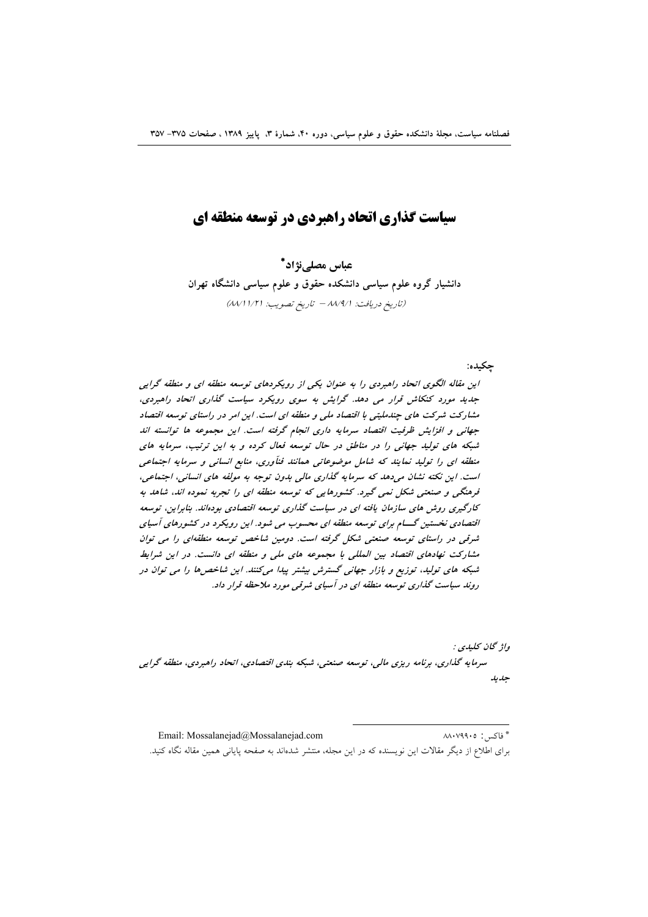# سیاست گذاری اتحاد راهبردی در توسعه منطقه ای

عباس مصلي;نژاد\* دانشیار گروه علوم سیاسی دانشکده حقوق و علوم سیاسی دانشگاه تهران (تاريخ دريافت: ٨٨/٩/١ - تاريخ تصويب: ٨٨/١١/٢١)

چکبده:

این مقاله الگوی اتحاد راهبردی را به عنوان یکی از رویکردهای توسعه منطقه ای و منطقه گرایی جدید مورد کنکاش قرار می دهد. گرایش به سوی رویکرد سیاست گذاری اتحاد راهبردی، مشارکت شرکت های جندملیتی با اقتصاد ملی و منطقه ای است. این امر در راستای توسعه اقتصاد جهانی و افزایش ظرفیت اقتصاد سرمایه داری انجام گرفته است. این مجموعه ها توانسته اند شبکه های تولید جهانی را در مناطق در حال توسعه فعال کرده و به این ترتیب، سرمایه های منطقه ای را تولید نمایند که شامل موضوعاتی همانند فنآوری، منابع انسانی و سرمایه اجتماعی است. این نکته نشان می دهد که سرمایه گذاری مالی بدون توجه به مولفه های انسانی، اجتماعی، فرهنگی و صنعتی شکل نمی گیرد. کشورهایی که توسعه منطقه ای را تجربه نموده اند، شاهد به کارگیری روش های سازمان یافته ای در سیاست گذاری توسعه اقتصادی بودهاند. بنابراین، توسعه اقتصادی نخستین گـــام برای توسعه منطقه ای محسوب می شود. این رویکرد در کشورهای آسیای شرقی در راستای توسعه صنعتی شکل گرفته است. دومین شاخص توسعه منطقهای را می توان مشارکت نهادهای اقتصاد بین المللی با مجموعه های ملی و منطقه ای دانست. در این شرایط شبکه های تولید، توزیع و بازار جهانی گسترش بیشتر پیدا میکنند. این شاخصها را می توان در روند سیاست گذاری توسعه منطقه ای در آسیای شرقی مورد ملاحظه قرار داد.

واژ گان كليدي : سرمایه گذاری، برنامه ریزی مالی، توسعه صنعتی، شبکه بندی اقتصادی، اتحاد راهبردی، منطقه گرایی جديد

\* فاكس: ٨٨٠٧٩٩٠٥ Email: Mossalanejad@Mossalanejad.com برای اطلاع از دیگر مقالات این نویسنده که در این مجله، منتشر شدهاند به صفحه پایانی همین مقاله نگاه کنید.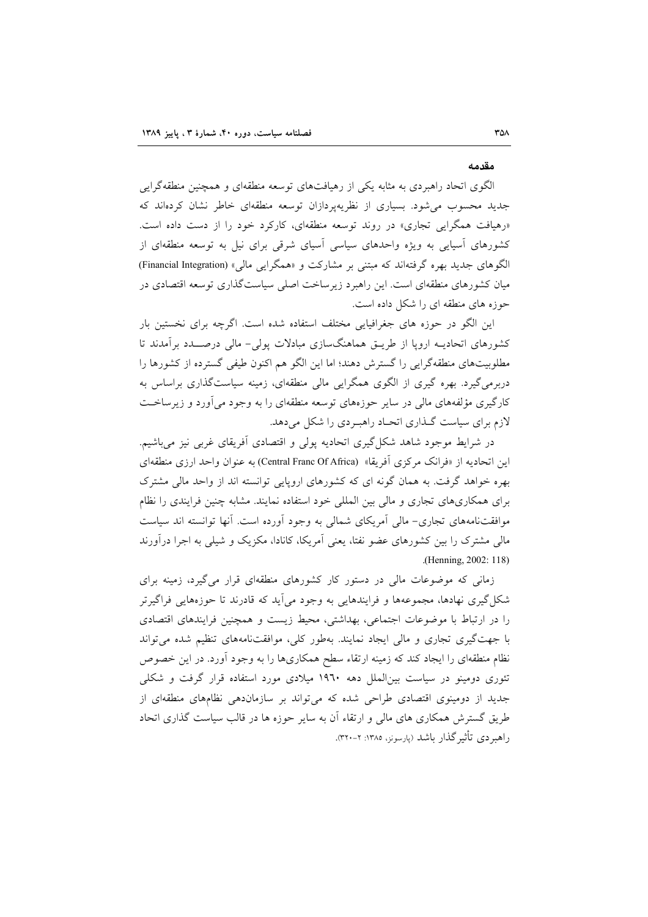#### مقدمه

الگوی اتحاد راهبردی به مثابه یکی از رهیافتهای توسعه منطقهای و همچنین منطقهگرایی جدید محسوب میشود. بسیاری از نظریهپردازان توسعه منطقهای خاطر نشان کردهاند که «رهیافت همگرایی تجاری» در روند توسعه منطقهای، کارکرد خود را از دست داده است. کشورهای آسیایی به ویژه واحدهای سیاسی آسیای شرقی برای نیل به توسعه منطقهای از الگوهای جدید بهره گرفتهاند که مبتنی بر مشارکت و «همگرایی مالی» (Financial Integration) میان کشورهای منطقهای است. این راهبرد زیرساخت اصلی سیاستگذاری توسعه اقتصادی در حوزه های منطقه ای را شکل داده است.

این الگو در حوزه های جغرافیایی مختلف استفاده شده است. اگرچه برای نخستین بار کشورهای اتحادیــه اروپا از طریــق هماهنگسازی مبادلات پولی- مالی درصــــدد برآمدند تا مطلوبیتهای منطقهگرایی را گسترش دهند؛ اما این الگو هم اکنون طیفی گسترده از کشورها را دربرمیگیرد. بهره گیری از الگوی همگرایی مالی منطقهای، زمینه سیاستگذاری براساس به کارگیری مؤلفههای مالی در سایر حوزههای توسعه منطقهای را به وجود میآورد و زیرساخت لازم برای سیاست گـذاری اتحـاد راهبـردی را شکل میدهد.

در شرایط موجود شاهد شکل گیری اتحادیه پولی و اقتصادی آفریقای غربی نیز میباشیم. این اتحادیه از «فرانک مرکزی آفریقا» (Central Franc Of Africa) به عنوان واحد ارزی منطقهای بهره خواهد گرفت. به همان گونه ای که کشورهای اروپایی توانسته اند از واحد مالی مشترک برای همکاریهای تجاری و مالی بین المللی خود استفاده نمایند. مشابه چنین فرایندی را نظام موافقتنامههای تجاری– مالی آمریکای شمالی به وجود آورده است. آنها توانسته اند سیاست مالی مشترک را بین کشورهای عضو نفتا، یعنی آمریکا، کانادا، مکزیک و شیلی به اجرا درآورند (Henning, 2002: 118)

زمانی که موضوعات مالی در دستور کار کشورهای منطقهای قرار میگیرد، زمینه برای شکل گیری نهادها، مجموعهها و فرایندهایی به وجود می آید که قادرند تا حوزههایی فراگیرتر را در ارتباط با موضوعات اجتماعی، بهداشتی، محیط زیست و همچنین فرایندهای اقتصادی با جهت گیری تجاری و مالی ایجاد نمایند. بهطور کلی، موافقتنامههای تنظیم شده می تواند نظام منطقهای را ایجاد کند که زمینه ارتقاء سطح همکاریها را به وجود آورد. در این خصوص تئوری دومینو در سیاست بین الملل دهه ۱۹۶۰ میلادی مورد استفاده قرار گرفت و شکلی جدید از دومینوی اقتصادی طراحی شده که می تواند بر سازماندهی نظامهای منطقهای از طریق گسترش همکاری های مالی و ارتقاء آن به سایر حوزه ها در قالب سیاست گذاری اتحاد راهیردی تأثیر گذار پاشد (بارسونز، ۱۳۸۵: ۲-۳۲۰).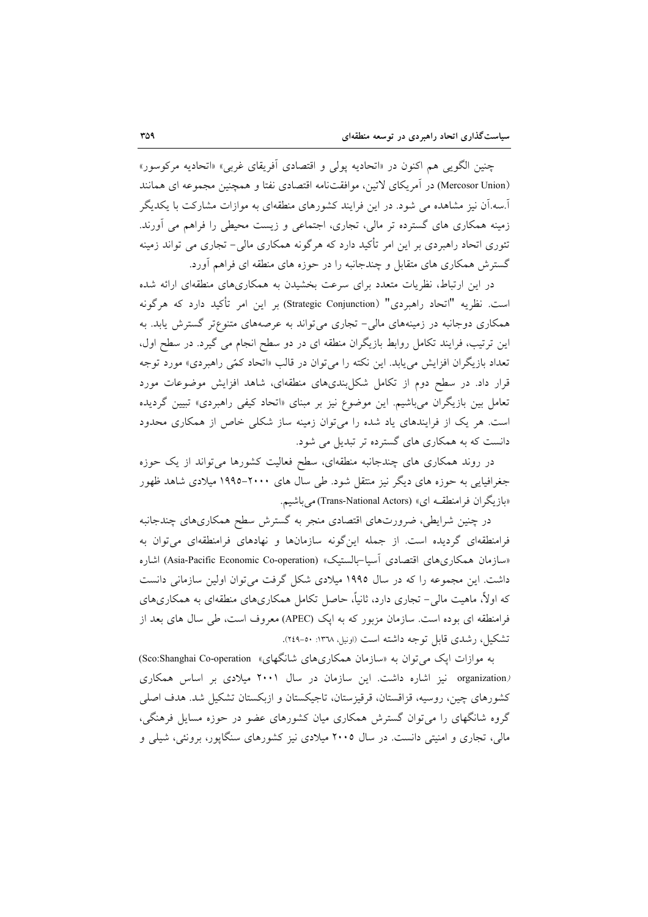چنین الگویی هم اکنون در «اتحادیه پولی و اقتصادی آفریقای غربی» «اتحادیه مرکوسور» (Mercosor Union) در آمريكاي لاتين، موافقتنامه اقتصادي نفتا و همچنين مجموعه اي همانند آ.سه.آن نیز مشاهده می شود. در این فرایند کشورهای منطقهای به موازات مشارکت با یکدیگر زمینه همکاری های گسترده تر مالی، تجاری، اجتماعی و زیست محیطی را فراهم می آورند. تئوری اتحاد راهبردی بر این امر تأکید دارد که هرگونه همکاری مالی– تجاری می تواند زمینه گسترش همکاری های متقابل و چندجانبه را در حوزه های منطقه ای فراهم آورد.

در این ارتباط، نظریات متعدد برای سرعت بخشیدن به همکاریهای منطقهای ارائه شده است. نظريه "اتحاد راهبردي" (Strategic Conjunction) بر اين امر تأكيد دارد كه هرگونه همکاری دوجانبه در زمینههای مالی- تجاری میتواند به عرصههای متنوعتر گسترش یابد. به این ترتیب، فرایند تکامل روابط بازیگران منطقه ای در دو سطح انجام می گیرد. در سطح اول، تعداد بازیگران افزایش می پابد. این نکته را می توان در قالب «اتحاد کمّی راهبردی» مورد توجه قرار داد. در سطح دوم از تکامل شکل بندیهای منطقهای، شاهد افزایش موضوعات مورد تعامل بین بازیگران میباشیم. این موضوع نیز بر مبنای «اتحاد کیفی راهبردی» تبیین گردیده است. هر یک از فرایندهای یاد شده را میتوان زمینه ساز شکلی خاص از همکاری محدود دانست که به همکاری های گسترده تر تبدیل می شود.

در روند همکاری های چندجانبه منطقهای، سطح فعالیت کشورها می تواند از یک حوزه جغرافیایی به حوزه های دیگر نیز منتقل شود. طی سال های ۲۰۰۰-۱۹۹۵ میلادی شاهد ظهور «بازیگران فرامنطقــه ای» (Trans-National Actors) می باشیم.

در چنین شرایطی، ضرورتهای اقتصادی منجر به گسترش سطح همکاریهای چندجانبه فرامنطقهای گردیده است. از جمله اینگونه سازمانها و نهادهای فرامنطقهای میتوان به «سازمان همكاري هاي اقتصادي أسيا-بالستيك» (Asia-Pacific Economic Co-operation) اشاره داشت. این مجموعه را که در سال ۱۹۹۵ میلادی شکل گرفت می توان اولین سازمانی دانست که اولاً، ماهیت مالی– تجاری دارد، ثانیاً، حاصل تکامل همکاریهای منطقهای به همکاریهای فرامنطقه ای بوده است. سازمان مزبور که به ایک (APEC) معروف است، طی سال های بعد از تشکیل، رشدی قابل توجه داشته است (اونیل، ۱۳۷۸: ۵۰-۲٤۹).

به موازات ایک می توان به «سازمان همکاریهای شانگهای» Sco:Shanghai Co-operation) (organization نیز اشاره داشت. این سازمان در سال ۲۰۰۱ میلادی بر اساس همکاری كشورهاي چين، روسيه، قزاقستان، قرقيزستان، تاجيكستان و ازبكستان تشكيل شد. هدف اصلي گروه شانگهای را می توان گسترش همکاری میان کشورهای عضو در حوزه مسایل فرهنگی، مالی، تجاری و امنیتی دانست. در سال ۲۰۰۵ میلادی نیز کشورهای سنگاپور، برونئی، شیلی و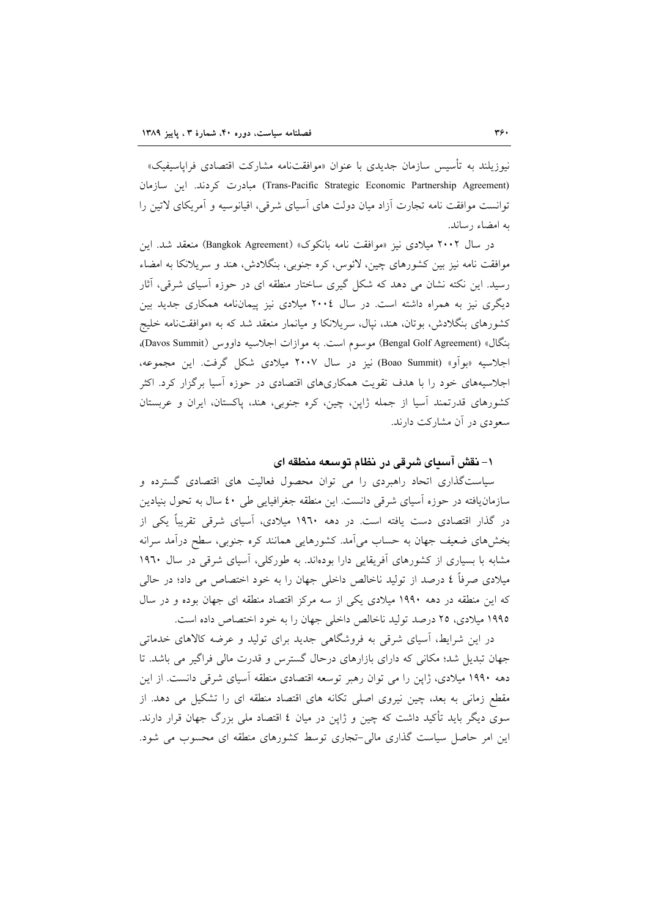نیوزیلند به تأسیس سازمان جدیدی با عنوان «موافقتنامه مشارکت اقتصادی فراپاسیفیک» (Trans-Pacific Strategic Economic Partnership Agreement) مبادرت کردند. این سازمان توانست موافقت نامه تجارت أزاد میان دولت های أسیای شرقی، اقیانوسیه و أمریکای لاتین را به امضاء رساند.

در سال ۲۰۰۲ میلادی نیز «موافقت نامه بانکوک» (Bangkok Agreement) منعقد شد. این موافقت نامه نیز بین کشورهای چین، لائوس، کره جنوبی، بنگلادش، هند و سریلانکا به امضاء رسید. این نکته نشان می دهد که شکل گیری ساختار منطقه ای در حوزه آسیای شرقی، آثار دیگری نیز به همراه داشته است. در سال ۲۰۰٤ میلادی نیز پیمانانامه همکاری جدید بین کشورهای بنگلادش، بوتان، هند، نپال، سریلانکا و میانمار منعقد شد که به «موافقتنامه خلیج بنگال» (Bengal Golf Agreement) موسوم است. به موازات اجلاسیه داووس (Davos Summit)، اجلاسيه «بوأو» (Boao Summit) نيز در سال ۲۰۰۷ ميلادي شكل گرفت. اين مجموعه، اجلاسیههای خود را با هدف تقویت همکاریهای اقتصادی در حوزه آسیا برگزار کرد. اکثر کشورهای قدرتمند آسیا از جمله ژاپن، چین، کره جنوبی، هند، پاکستان، ایران و عربستان سعودی در آن مشارکت دارند.

## ۱- نقش آسیای شرقی در نظام توسعه منطقه ای

سیاستگذاری اتحاد راهبردی را می توان محصول فعالیت های اقتصادی گسترده و سازمان یافته در حوزه أسیای شرقی دانست. این منطقه جغرافیایی طی ٤٠ سال به تحول بنیادین در گذار اقتصادی دست یافته است. در دهه ۱۹۶۰ میلادی، آسیای شرقی تقریباً یکی از بخشهای ضعیف جهان به حساب می اَمد. کشورهایی همانند کره جنوبی، سطح در اَمد سرانه مشابه با بسیاری از کشورهای اَفریقایی دارا بودهاند. به طورکلی، اَسیای شرقی در سال ۱۹٦۰ میلادی صرفاً ٤ درصد از تولید ناخالص داخلی جهان را به خود اختصاص می داد؛ در حالی که این منطقه در دهه ۱۹۹۰ میلادی یکی از سه مرکز اقتصاد منطقه ای جهان بوده و در سال ۱۹۹۵ میلادی، ۲۵ درصد تولید ناخالص داخلی جهان را به خود اختصاص داده است.

در این شرایط، آسیای شرقی به فروشگاهی جدید برای تولید و عرضه کالاهای خدماتی جهان تبدیل شد؛ مکانی که دارای بازارهای درحال گسترس و قدرت مالی فراگیر می باشد. تا دهه ۱۹۹۰ میلادی، ژاپن را می توان رهبر توسعه اقتصادی منطقه آسیای شرقی دانست. از این مقطع زمانی به بعد، چین نیروی اصلی تکانه های اقتصاد منطقه ای را تشکیل می دهد. از سوی دیگر باید تأکید داشت که چین و ژاپن در میان ٤ اقتصاد ملی بزرگ جهان قرار دارند. این امر حاصل سیاست گذاری مالی-تجاری توسط کشورهای منطقه ای محسوب می شود.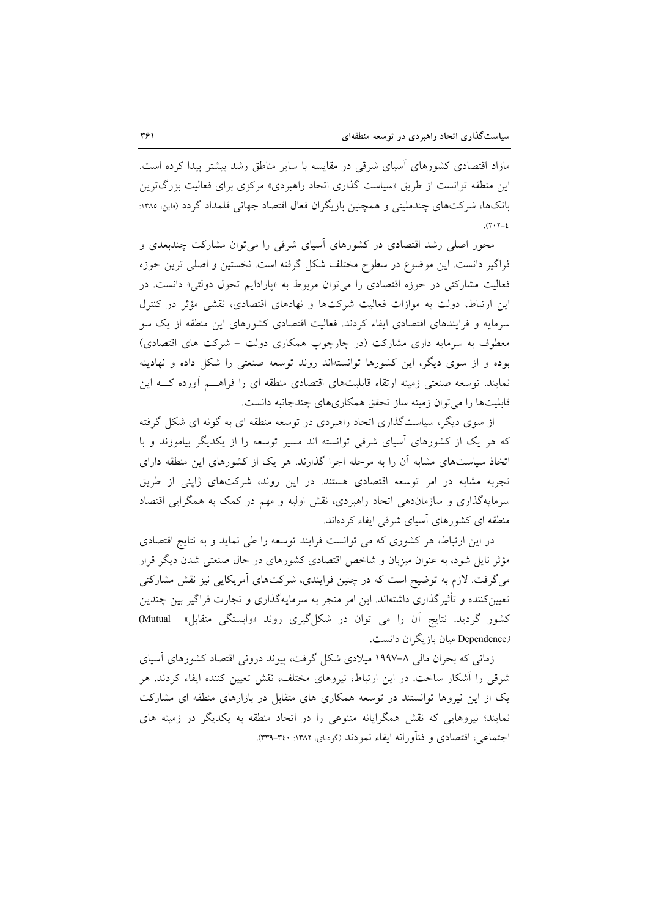مازاد اقتصادی کشورهای آسیای شرقی در مقایسه با سایر مناطق رشد بیشتر پیدا کرده است. این منطقه توانست از طریق «سیاست گذاری اتحاد راهبردی» مرکزی برای فعالیت بزرگترین بانکها، شرکتهای چندملیتی و همچنین بازیگران فعال اقتصاد جهانی قلمداد گردد (فاین، ۱۳۸۵:  $(7.7 - 2)$ 

محور اصلی رشد اقتصادی در کشورهای آسیای شرقی را می توان مشارکت چندبعدی و فراگیر دانست. این موضوع در سطوح مختلف شکل گرفته است. نخستین و اصلی ترین حوزه فعالیت مشارکتی در حوزه اقتصادی را می توان مربوط به «پارادایم تحول دولتی» دانست. در این ارتباط، دولت به موازات فعالیت شرکتها و نهادهای اقتصادی، نقشی مؤثر در کنترل سرمایه و فرایندهای اقتصادی ایفاء کردند. فعالیت اقتصادی کشورهای این منطقه از یک سو معطوف به سرمایه داری مشارکت (در چارچوب همکاری دولت - شرکت های اقتصادی) بوده و از سوی دیگر، این کشورها توانستهاند روند توسعه صنعتی را شکل داده و نهادینه نمایند. توسعه صنعتی زمینه ارتقاء قابلیتهای اقتصادی منطقه ای را فراهـــم أورده کـــه این قابلیتها را می توان زمینه ساز تحقق همکاریهای چندجانبه دانست.

از سوی دیگر، سیاستگذاری اتحاد راهبردی در توسعه منطقه ای به گونه ای شکل گرفته که هر یک از کشورهای آسیای شرقی توانسته اند مسیر توسعه را از یکدیگر بیاموزند و با اتخاذ سیاستهای مشابه آن را به مرحله اجرا گذارند. هر یک از کشورهای این منطقه دارای تجربه مشابه در امر توسعه اقتصادی هستند. در این روند، شرکتهای ژاپنی از طریق سرمایهگذاری و سازماندهی اتحاد راهبردی، نقش اولیه و مهم در کمک به همگرایی اقتصاد منطقه ای کشورهای آسیای شرقی ایفاء کردهاند.

در این ارتباط، هر کشوری که می توانست فرایند توسعه را طی نماید و به نتایج اقتصادی مؤثر نایل شود، به عنوان میزبان و شاخص اقتصادی کشورهای در حال صنعتی شدن دیگر قرار می گرفت. لازم به توضیح است که در چنین فرایندی، شرکتهای آمریکایی نیز نقش مشارکتی تعیینکننده و تأثیرگذاری داشتهاند. این امر منجر به سرمایهگذاری و تجارت فراگیر بین چندین کشور گردید. نتایج آن را می توان در شکل گیری روند «وابستگی متقابل» Mutual) (Dependence میان بازیگران دانست.

زمانی که بحران مالی ۸–۱۹۹۷ میلادی شکل گرفت، پیوند درونی اقتصاد کشورهای آسیای شرقی را آشکار ساخت. در این ارتباط، نیروهای مختلف، نقش تعیین کننده ایفاء کردند. هر یک از این نیروها توانستند در توسعه همکاری های متقابل در بازارهای منطقه ای مشارکت نمایند؛ نیروهایی که نقش همگرایانه متنوعی را در اتحاد منطقه به یکدیگر در زمینه های اجتماعی، اقتصادی و فنآورانه ایفاء نمودند (گودبای، ۱۳۸۲: ۳:۰-۳۳۹).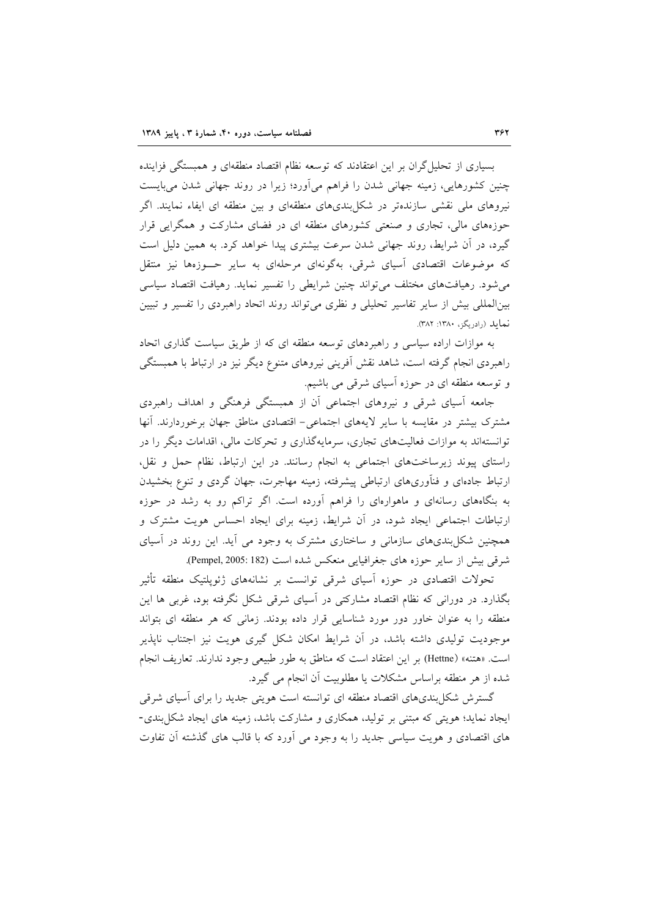بسیاری از تحلیل گران بر این اعتقادند که توسعه نظام اقتصاد منطقهای و همبستگی فزاینده چنین کشورهایی، زمینه جهانی شدن را فراهم میآورد؛ زیرا در روند جهانی شدن میبایست نیروهای ملی نقشی سازندهتر در شکل بندیهای منطقهای و بین منطقه ای ایفاء نمایند. اگر حوزههای مالی، تجاری و صنعتی کشورهای منطقه ای در فضای مشارکت و همگرایی قرار گیرد، در آن شرایط، روند جهانی شدن سرعت بیشتری پیدا خواهد کرد. به همین دلیل است که موضوعات اقتصادی آسیای شرقی، بهگونهای مرحلهای به سایر حــوزهها نیز منتقل می شود. رهیافتهای مختلف می تواند چنین شرایطی را تفسیر نماید. رهیافت اقتصاد سیاسی بینالمللی بیش از سایر تفاسیر تحلیلی و نظری میتواند روند اتحاد راهبردی را تفسیر و تبیین نماید (رادریگز، ۱۳۸۰: ۳۸۲).

به موازات اراده سیاسی و راهبردهای توسعه منطقه ای که از طریق سیاست گذاری اتحاد راهبردی انجام گرفته است، شاهد نقش آفرینی نیروهای متنوع دیگر نیز در ارتباط با همبستگی و توسعه منطقه ای در حوزه آسیای شرقی می باشیم.

جامعه آسیای شرقی و نیروهای اجتماعی آن از همبستگی فرهنگی و اهداف راهبردی مشترک بیشتر در مقایسه با سایر لایههای اجتماعی- اقتصادی مناطق جهان برخوردارند. آنها توانستهاند به موازات فعالیتهای تجاری، سرمایهگذاری و تحرکات مالی، اقدامات دیگر را در راستای پیوند زیرساختهای اجتماعی به انجام رسانند. در این ارتباط، نظام حمل و نقل، ارتباط جادهای و فنأوریهای ارتباطی پیشرفته، زمینه مهاجرت، جهان گردی و تنوع بخشیدن به بنگاههای رسانهای و ماهوارهای را فراهم آورده است. اگر تراکم رو به رشد در حوزه ارتباطات اجتماعی ایجاد شود، در آن شرایط، زمینه برای ایجاد احساس هویت مشترک و همچنین شکل بندیهای سازمانی و ساختاری مشترک به وجود می آید. این روند در آسیای شرقی بیش از سایر حوزه های جغرافیایی منعکس شده است (Pempel, 2005: 182).

تحولات اقتصادی در حوزه آسیای شرقی توانست بر نشانههای ژئوپلتیک منطقه تأثیر بگذارد. در دورانی که نظام اقتصاد مشارکتی در آسیای شرقی شکل نگرفته بود، غربی ها این منطقه را به عنوان خاور دور مورد شناسایی قرار داده بودند. زمانی که هر منطقه ای بتواند موجودیت تولیدی داشته باشد، در آن شرایط امکان شکل گیری هویت نیز اجتناب نایذیر است. «هتنه» (Hettne) بر اين اعتقاد است كه مناطق به طور طبيعي وجود ندارند. تعاريف انجام شده از هر منطقه براساس مشکلات یا مطلوبیت آن انجام می گیرد.

گسترش شکل بندیهای اقتصاد منطقه ای توانسته است هویتی جدید را برای آسیای شرقی ایجاد نماید؛ هویتی که مبتنی بر تولید، همکاری و مشارکت باشد، زمینه های ایجاد شکل بندی-های اقتصادی و هویت سیاسی جدید را به وجود می آورد که با قالب های گذشته آن تفاوت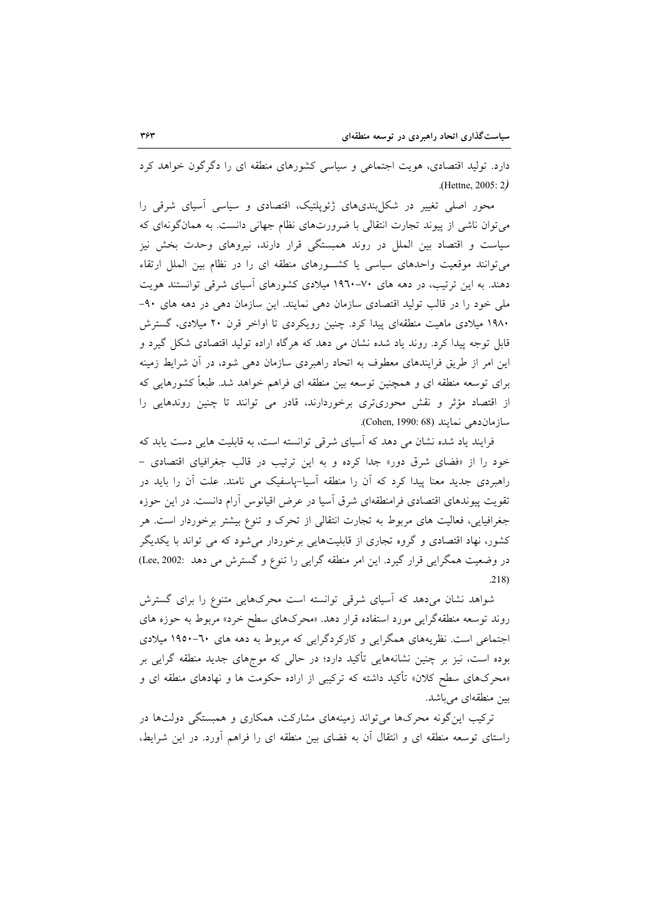دارد. تولید اقتصادی، هویت اجتماعی و سیاسی کشورهای منطقه ای را دگرگون خواهد کرد  $($ Hettne, 2005: 2 $)$ 

محور اصلی تغییر در شکل بندیهای ژئوپلتیک، اقتصادی و سیاسی اسپای شرقی را میتوان ناشی از پیوند تجارت انتقالی با ضرورتهای نظام جهانی دانست. به همانگونهای که سیاست و اقتصاد بین الملل در روند همبستگی قرار دارند، نیروهای وحدت بخش نیز می توانند موقعیت واحدهای سیاسی یا کشورهای منطقه ای را در نظام بین الملل ارتقاء دهند. به این ترتیب، در دهه های ۷۰-۱۹٦۰ میلادی کشورهای آسیای شرقی توانستند هویت ملی خود را در قالب تولید اقتصادی سازمان دهی نمایند. این سازمان دهی در دهه های ۹۰-۱۹۸۰ میلادی ماهیت منطقهای پیدا کرد. چنین رویکردی تا اواخر قرن ۲۰ میلادی، گسترش قابل توجه پیدا کرد. روند یاد شده نشان می دهد که هرگاه اراده تولید اقتصادی شکل گیرد و این امر از طریق فرایندهای معطوف به اتحاد راهبردی سازمان دهی شود، در آن شرایط زمینه برای توسعه منطقه ای و همچنین توسعه بین منطقه ای فراهم خواهد شد. طبعاً کشورهایی که از اقتصاد مؤثر و نقش محوریتری برخوردارند، قادر می توانند تا چنین روندهایی را سازمان دهی نمایند (Cohen, 1990: 68).

فرایند یاد شده نشان می دهد که آسیای شرقی توانسته است، به قابلیت هایی دست یابد که خود را از «فضای شرق دور» جدا کرده و به این ترتیب در قالب جغرافیای اقتصادی -راهبردی جدید معنا پیدا کرد که آن را منطقه آسیا-پاسفیک می نامند. علت آن را باید در تقویت پیوندهای اقتصادی فرامنطقهای شرق آسیا در عرض اقیانوس آرام دانست. در این حوزه جغرافیایی، فعالیت های مربوط به تجارت انتقالی از تحرک و تنوع بیشتر برخوردار است. هر کشور، نهاد اقتصادی و گروه تجاری از قابلیتهایی برخوردار میشود که می تواند با یکدیگر در وضعیت همگرایی قرار گیرد. این امر منطقه گرایی را تنوع و گسترش می دهد :Lee, 2002  $.218)$ 

شواهد نشان میدهد که آسیای شرقی توانسته است محرکهایی متنوع را برای گسترش روند توسعه منطقهگرایی مورد استفاده قرار دهد. «محرکهای سطح خرد» مربوط به حوزه های اجتماعی است. نظریههای همگرایی و کارکردگرایی که مربوط به دهه های ٦٠-١٩٥٠ میلادی بوده است، نیز بر چنین نشانههایی تأکید دارد؛ در حالی که موجهای جدید منطقه گرایی بر «محرکهای سطح کلان» تأکید داشته که ترکیبی از اراده حکومت ها و نهادهای منطقه ای و بین منطقهای می باشد.

ترکیب اینگونه محرک۱ها می تواند زمینههای مشارکت، همکاری و همبستگی دولتها در راستای توسعه منطقه ای و انتقال آن به فضای بین منطقه ای را فراهم آورد. در این شرایط،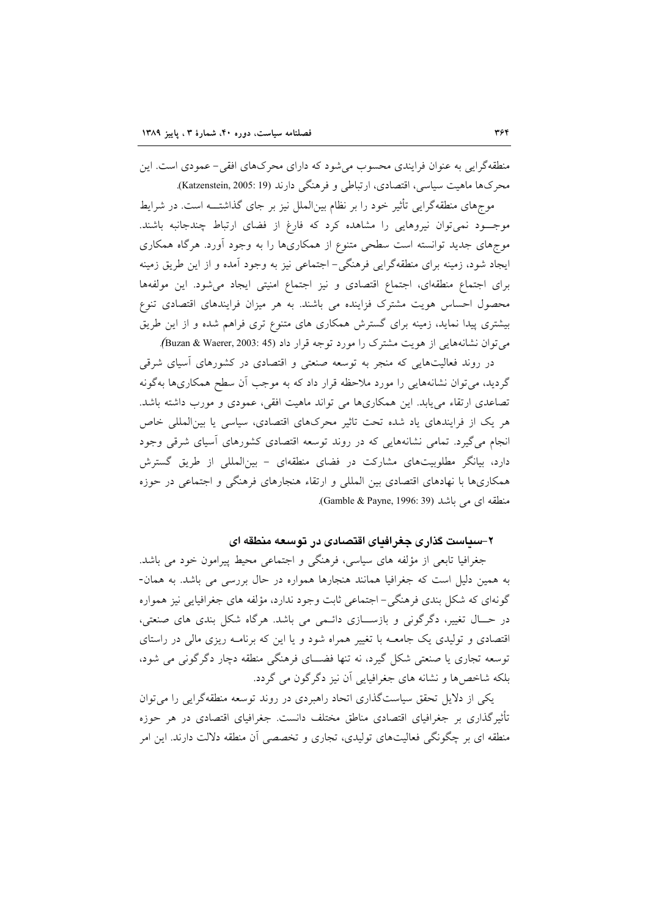منطقهگرایی به عنوان فرایندی محسوب می شود که دارای محرکهای افقی- عمودی است. این محرکها ماهیت سیاسی، اقتصادی، ارتباطی و فرهنگی دارند (Katzenstein, 2005: 19).

موجهای منطقهگرایی تأثیر خود را بر نظام بینالملل نیز بر جای گذاشتـــه است. در شرایط موجـــود نميتوان نيروهايي را مشاهده كرد كه فارغ از فضاي ارتباط چندجانبه باشند. موجهای جدید توانسته است سطحی متنوع از همکاریها را به وجود آورد. هرگاه همکاری ایجاد شود، زمینه برای منطقهگرایی فرهنگی– اجتماعی نیز به وجود آمده و از این طریق زمینه برای اجتماع منطقهای، اجتماع اقتصادی و نیز اجتماع امنیتی ایجاد می شود. این مولفهها محصول احساس هویت مشترک فزاینده می باشند. به هر میزان فرایندهای اقتصادی تنوع بیشتری پیدا نماید، زمینه برای گسترش همکاری های متنوع تری فراهم شده و از این طریق می توان نشانههایی از هویت مشترک را مورد توجه قرار داد (45 :3003 Buzan & Waerer, 2003).

در روند فعالیتهایی که منجر به توسعه صنعتی و اقتصادی در کشورهای آسیای شرقی گردید، می توان نشانههایی را مورد ملاحظه قرار داد که به موجب أن سطح همکاریها بهگونه تصاعدی ارتقاء می یابد. این همکاریها می تواند ماهیت افقی، عمودی و مورب داشته باشد. هر یک از فرایندهای یاد شده تحت تاثیر محرکهای اقتصادی، سیاسی یا بین المللی خاص انجام می گیرد. تمامی نشانههایی که در روند توسعه اقتصادی کشورهای أسیای شرقی وجود دارد، بیانگر مطلوبیتهای مشارکت در فضای منطقهای – بین|لمللی از طریق گسترش همکاریها با نهادهای اقتصادی بین المللی و ارتقاء هنجارهای فرهنگی و اجتماعی در حوزه منطقه اي مي باشد (Gamble & Payne, 1996: 39).

۲-سیاست گذاری جغرافیای اقتصادی در توسعه منطقه ای

جغرافیا تابعی از مؤلفه های سیاسی، فرهنگی و اجتماعی محیط پیرامون خود می باشد. به همین دلیل است که جغرافیا همانند هنجارها همواره در حال بررسی می باشد. به همان-گونهای که شکل بندی فرهنگی- اجتماعی ثابت وجود ندارد، مؤلفه های جغرافیایی نیز همواره در حــال تغییر، دگرگونی و بازســـازی دائــمی می باشد. هرگاه شکل بندی های صنعتی، اقتصادی و تولیدی یک جامعــه با تغییر همراه شود و یا این که برنامــه ریزی مالی در راستای توسعه تجاری یا صنعتی شکل گیرد، نه تنها فضـــای فرهنگی منطقه دچار دگرگونی می شود، بلکه شاخصها و نشانه های جغرافیایی آن نیز دگرگون می گردد.

یکی از دلایل تحقق سیاستگذاری اتحاد راهبردی در روند توسعه منطقهگرایی را می توان تأثیرگذاری بر جغرافیای اقتصادی مناطق مختلف دانست. جغرافیای اقتصادی در هر حوزه منطقه ای بر چگونگی فعالیتهای تولیدی، تجاری و تخصصی آن منطقه دلالت دارند. این امر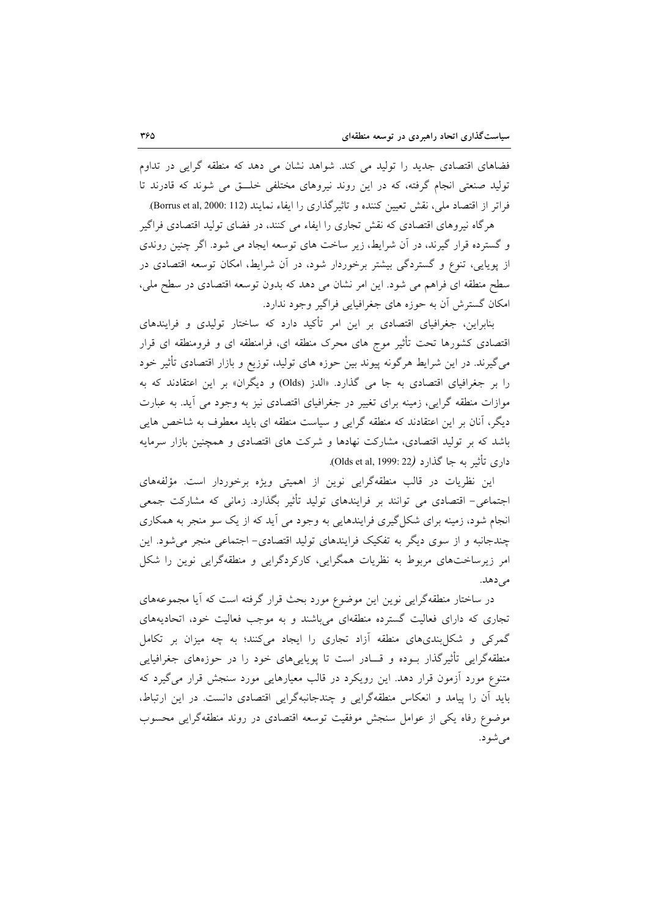فضاهای اقتصادی جدید را تولید می کند. شواهد نشان می دهد که منطقه گرایی در تداوم تولید صنعتی انجام گرفته، که در این روند نیروهای مختلفی خلـــق می شوند که قادرند تا فراتر از اقتصاد ملي، نقش تعيين كننده و تاثيرگذاري را ايفاء نمايند (Borrus et al, 2000: 112).

هرگاه نیروهای اقتصادی که نقش تجاری را ایفاء می کنند، در فضای تولید اقتصادی فراگیر و گسترده قرار گیرند، در آن شرایط، زیر ساخت های توسعه ایجاد می شود. اگر چنین روندی از پویایی، تنوع و گستردگی بیشتر برخوردار شود، در آن شرایط، امکان توسعه اقتصادی در سطح منطقه ای فراهم می شود. این امر نشان می دهد که بدون توسعه اقتصادی در سطح ملی، امکان گسترش آن به حوزه های جغرافیایی فراگیر وجود ندارد.

بنابراین، جغرافیای اقتصادی بر این امر تأکید دارد که ساختار تولیدی و فرایندهای اقتصادی کشورها تحت تأثیر موج های محرک منطقه ای، فرامنطقه ای و فرومنطقه ای قرار می گیرند. در این شرایط هرگونه پیوند بین حوزه های تولید، توزیع و بازار اقتصادی تأثیر خود را بر جغرافیای اقتصادی به جا می گذارد. «الدز (Olds) و دیگران» بر این اعتقادند که به موازات منطقه گرایی، زمینه برای تغییر در جغرافیای اقتصادی نیز به وجود می آید. به عبارت دیگر، آنان بر این اعتقادند که منطقه گرایی و سیاست منطقه ای باید معطوف به شاخص هایی باشد که بر تولید اقتصادی، مشارکت نهادها و شرکت های اقتصادی و همچنین بازار سرمایه داري تأثير به جا گذارد (Olds et al, 1999: 22).

این نظریات در قالب منطقهگرایی نوین از اهمیتی ویژه برخوردار است. مؤلفههای اجتماعی– اقتصادی می توانند بر فرایندهای تولید تأثیر بگذارد. زمانی که مشارکت جمعی انجام شود، زمینه برای شکل گیری فرایندهایی به وجود می آید که از یک سو منجر به همکاری چندجانبه و از سوی دیگر به تفکیک فرایندهای تولید اقتصادی- اجتماعی منجر میشود. این امر زیرساختهای مربوط به نظریات همگرایی، کارکردگرایی و منطقهگرایی نوین را شکل مے زھلہ.

در ساختار منطقهگرایی نوین این موضوع مورد بحث قرار گرفته است که آیا مجموعههای تجاری که دارای فعالیت گسترده منطقهای میباشند و به موجب فعالیت خود، اتحادیههای گمرکی و شکاربندیهای منطقه آزاد تجاری را ایجاد میکنند؛ به چه میزان بر تکامل منطقهگرایی تأثیرگذار بـوده و قـــادر است تا پویاییهای خود را در حوزههای جغرافیایی متنوع مورد آزمون قرار دهد. این رویکرد در قالب معیارهایی مورد سنجش قرار می گیرد که باید آن را پیامد و انعکاس منطقهگرایی و چندجانبهگرایی اقتصادی دانست. در این ارتباط، موضوع رفاه يكي از عوامل سنجش موفقيت توسعه اقتصادي در روند منطقهگرايي محسوب می شو د.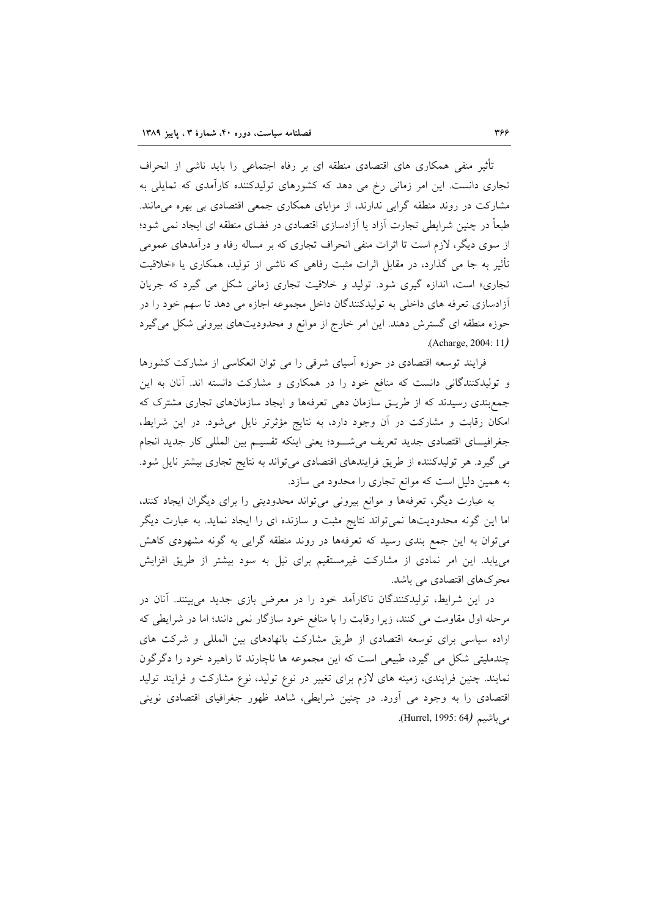تأثیر منفی همکاری های اقتصادی منطقه ای بر رفاه اجتماعی را باید ناشی از انحراف تجاری دانست. این امر زمانی رخ می دهد که کشورهای تولیدکننده کارآمدی که تمایلی به مشارکت در روند منطقه گرایی ندارند، از مزایای همکاری جمعی اقتصادی بی بهره میمانند. طبعاً در چنین شرایطی تجارت آزاد یا آزادسازی اقتصادی در فضای منطقه ای ایجاد نمی شود؛ از سوی دیگر، لازم است تا اثرات منفی انحراف تجاری که بر مساله رفاه و درآمدهای عمومی تأثیر به جا می گذارد، در مقابل اثرات مثبت رفاهی که ناشی از تولید، همکاری یا «خلاقیت تجاري» است، اندازه گيري شود. توليد و خلاقيت تجاري زماني شكل مي گيرد كه جريان آزادسازی تعرفه های داخلی به تولیدکنندگان داخل مجموعه اجازه می دهد تا سهم خود را در حوزه منطقه ای گسترش دهند. این امر خارج از موانع و محدودیتهای بیرونی شکل میگیرد (Acharge, 2004: 11)

فرایند توسعه اقتصادی در حوزه آسیای شرقی را می توان انعکاسی از مشارکت کشورها و تولیدکنندگانی دانست که منافع خود را در همکاری و مشارکت دانسته اند. آنان به این جمع بندی رسیدند که از طریـق سازمان دهی تعرفهها و ایجاد سازمانهای تجاری مشترک که امکان رقابت و مشارکت در آن وجود دارد، به نتایج مؤثرتر نایل می شود. در این شرایط، جغرافيــاي اقتصادي جديد تعريف مي شــود؛ يعني اينكه تقسيـم بين المللي كار جديد انجام می گیرد. هر تولیدکننده از طریق فرایندهای اقتصادی میتواند به نتایج تجاری بیشتر نایل شود. به همین دلیل است که موانع تجاری را محدود می سازد.

به عبارت دیگر، تعرفهها و موانع بیرونی میتواند محدودیتی را برای دیگران ایجاد کنند، اما این گونه محدودیتها نمی تواند نتایج مثبت و سازنده ای را ایجاد نماید. به عبارت دیگر میتوان به این جمع بندی رسید که تعرفهها در روند منطقه گرایی به گونه مشهودی کاهش می یابد. این امر نمادی از مشارکت غیرمستقیم برای نیل به سود بیشتر از طریق افزایش محرکهای اقتصادی می باشد.

در این شرایط، تولیدکنندگان ناکارآمد خود را در معرض بازی جدید می بینند. آنان در مرحله اول مقاومت می کنند، زیرا رقابت را با منافع خود سازگار نمی دانند؛ اما در شرایطی که اراده سیاسی برای توسعه اقتصادی از طریق مشارکت بانهادهای بین المللی و شرکت های چندملیتی شکل می گیرد، طبیعی است که این مجموعه ها ناچارند تا راهبرد خود را دگر گون نمایند. چنین فرایندی، زمینه های لازم برای تغییر در نوع تولید، نوع مشارکت و فرایند تولید اقتصادی را به وجود می اَورد. در چنین شرایطی، شاهد ظهور جغرافیای اقتصادی نوینی مي باشيم (Hurrel, 1995: 64).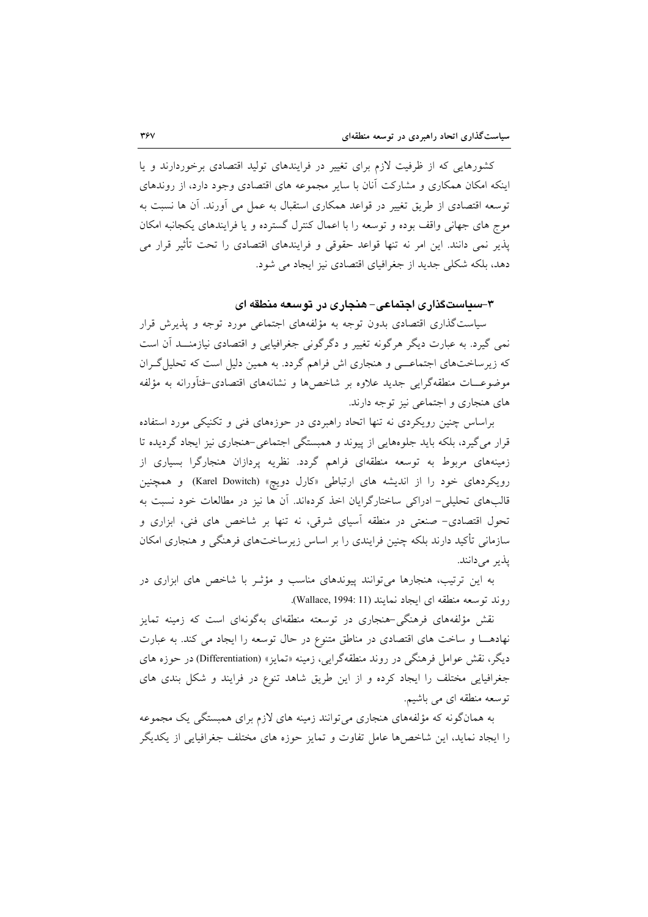کشورهایی که از ظرفیت لازم برای تغییر در فرایندهای تولید اقتصادی برخوردارند و یا اینکه امکان همکاری و مشارکت آنان با سایر مجموعه های اقتصادی وجود دارد، از روندهای توسعه اقتصادی از طریق تغییر در قواعد همکاری استقبال به عمل می آورند. آن ها نسبت به موج های جهانی واقف بوده و توسعه را با اعمال کنترل گسترده و یا فرایندهای یکجانبه امکان یذیر نمی دانند. این امر نه تنها قواعد حقوقی و فرایندهای اقتصادی را تحت تأثیر قرار می دهد، بلکه شکلی جدید از جغرافیای اقتصادی نیز ایجاد می شود.

۳-سیاستگذاری اجتماعی-هنجاری در توسعه منطقه ای

سیاست گذاری اقتصادی بدون توجه به مؤلفههای اجتماعی مورد توجه و پذیرش قرار نمي گيرد. به عبارت ديگر هرگونه تغيير و دگرگوني جغرافيايي و اقتصادي نيازمنـــد اَن است که زیرساختهای اجتماعـــی و هنجاری اش فراهم گردد. به همین دلیل است که تحلیل گــران موضوعـــات منطقهگرايي جديد علاوه بر شاخصها و نشانههاي اقتصادي-فنآورانه به مؤلفه های هنجاری و اجتماعی نیز توجه دارند.

براساس چنین رویکردی نه تنها اتحاد راهبردی در حوزههای فنی و تکنیکی مورد استفاده قرار می گیرد، بلکه باید جلوههایی از پیوند و همبستگی اجتماعی-هنجاری نیز ایجاد گردیده تا زمینههای مربوط به توسعه منطقهای فراهم گردد. نظریه پردازان هنجارگرا بسیاری از رویکردهای خود را از اندیشه های ارتباطی «کارل دویچ» (Karel Dowitch) و همچنین قالبهای تحلیلی– ادراکی ساختارگرایان اخذ کردهاند. آن ها نیز در مطالعات خود نسبت به تحول اقتصادی- صنعتی در منطقه آسیای شرقی، نه تنها بر شاخص های فنی، ابزاری و سازمانی تأکید دارند بلکه چنین فرایندی را بر اساس زیرساختهای فرهنگی و هنجاری امکان يذير مي دانند.

به این ترتیب، هنجارها می توانند پیوندهای مناسب و مؤثر با شاخص های ابزاری در روند توسعه منطقه اى ايجاد نمايند (Wallace, 1994: 11).

نقش مؤلفههای فرهنگی-هنجاری در توسعته منطقهای بهگونهای است که زمینه تمایز نهادها و ساخت های اقتصادی در مناطق متنوع در حال توسعه را ایجاد می کند. به عبارت دیگر، نقش عوامل فرهنگی در روند منطقهگرایی، زمینه «تمایز» (Differentiation) در حوزه های جغرافیایی مختلف را ایجاد کرده و از این طریق شاهد تنوع در فرایند و شکل بندی های توسعه منطقه ای می باشیم.

به همانگونه که مؤلفههای هنجاری میتوانند زمینه های لازم برای همبستگی یک مجموعه را ایجاد نماید، این شاخصها عامل تفاوت و تمایز حوزه های مختلف جغرافیایی از یکدیگر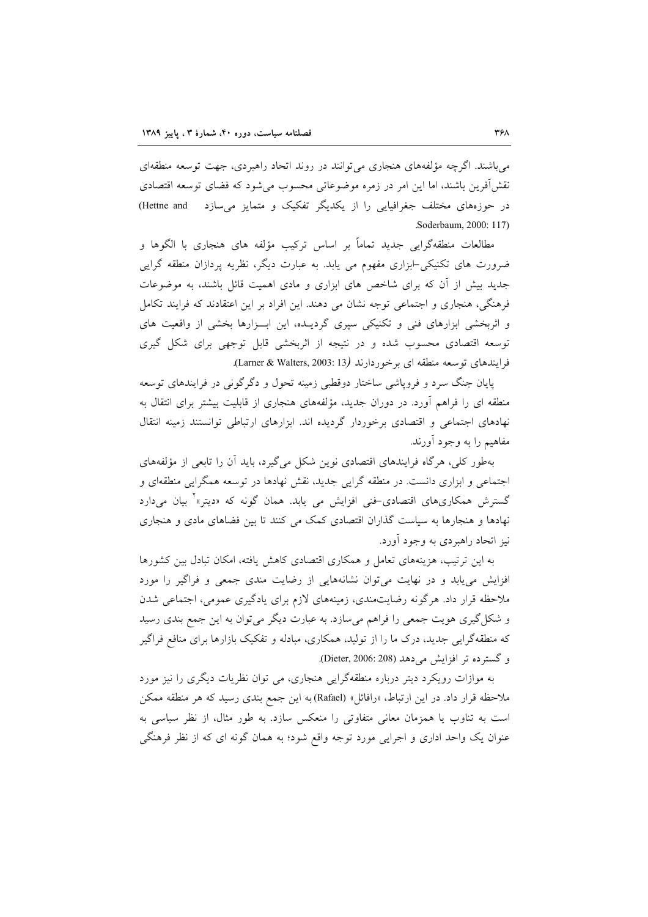می باشند. اگرچه مؤلفههای هنجاری می توانند در روند اتحاد راهبردی، جهت توسعه منطقهای نقش آفرین باشند، اما این امر در زمره موضوعاتی محسوب می شود که فضای توسعه اقتصادی در حوزههای مختلف جغرافیایی را از یکدیگر تفکیک و متمایز می سازد Hettne and Soderbaum, 2000: 117).

مطالعات منطقهگرایی جدید تماماً بر اساس ترکیب مؤلفه های هنجاری با الگوها و ضرورت های تکنیکی-ابزاری مفهوم می یابد. به عبارت دیگر، نظریه پردازان منطقه گرایی جدید بیش از آن که برای شاخص های ابزاری و مادی اهمیت قائل باشند، به موضوعات فرهنگی، هنجاری و اجتماعی توجه نشان می دهند. این افراد بر این اعتقادند که فرایند تکامل و اثربخشی ابزارهای فنی و تکنیکی سپری گردیـده، این ابـزارها بخشی از واقعیت های توسعه اقتصادی محسوب شده و در نتیجه از اثربخشی قابل توجهی برای شکل گیری فرایندهای توسعه منطقه ای برخوردارند (Larner & Walters, 2003: 13).

پایان جنگ سرد و فروپاشی ساختار دوقطبی زمینه تحول و دگرگونی در فرایندهای توسعه منطقه ای را فراهم آورد. در دوران جدید، مؤلفههای هنجاری از قابلیت بیشتر برای انتقال به نهادهای اجتماعی و اقتصادی برخوردار گردیده اند. ابزارهای ارتباطی توانستند زمینه انتقال مفاهيم را به وجود آورند.

بهطور كلي، هرگاه فرايندهاي اقتصادي نوين شكل مي گيرد، بايد أن را تابعي از مؤلفههاي اجتماعی و ابزاری دانست. در منطقه گرایی جدید، نقش نهادها در توسعه همگرایی منطقهای و گسترش همکاریهای اقتصادی-فنی افزایش می یابد. همان گونه که «دیتر»<sup>۲</sup> بیان میدارد نهادها و هنجارها به سیاست گذاران اقتصادی کمک می کنند تا بین فضاهای مادی و هنجاری نیز اتحاد راهبردی به وجود آورد.

به این ترتیب، هزینههای تعامل و همکاری اقتصادی کاهش یافته، امکان تبادل بین کشورها افزایش می یابد و در نهایت می توان نشانههایی از رضایت مندی جمعی و فراگیر را مورد ملاحظه قرار داد. هرگونه رضایتمندی، زمینههای لازم برای یادگیری عمومی، اجتماعی شدن و شکل گیری هویت جمعی را فراهم می سازد. به عبارت دیگر می توان به این جمع بندی رسید که منطقهگرایی جدید، درک ما را از تولید، همکاری، مبادله و تفکیک بازارها برای منافع فراگیر و گسترده تر افزایش می دهد (Dieter, 2006: 208).

به موازات رویکرد دیتر درباره منطقهگرایی هنجاری، می توان نظریات دیگری را نیز مورد ملاحظه قرار داد. در این ارتباط، «رافائل» (Rafael) به این جمع بندی رسید که هر منطقه ممکن است به تناوب یا همزمان معانی متفاوتی را منعکس سازد. به طور مثال، از نظر سیاسی به عنوان یک واحد اداری و اجرایی مورد توجه واقع شود؛ به همان گونه ای که از نظر فرهنگی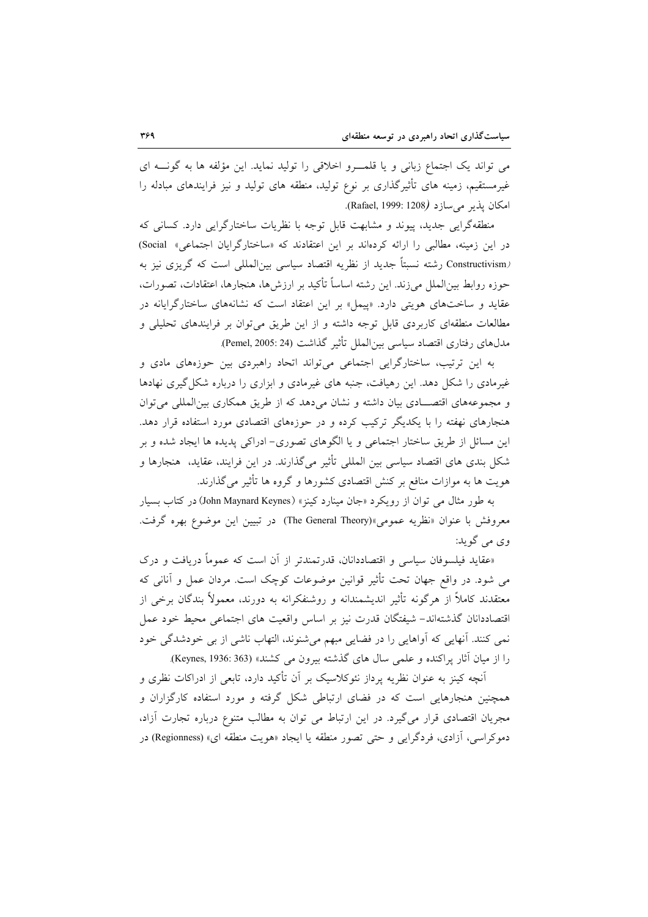می تواند یک اجتماع زبانی و یا قلمــرو اخلاقی را تولید نماید. این مؤلفه ها به گونـــه ای غیرمستقیم، زمینه های تأثیرگذاری بر نوع تولید، منطقه های تولید و نیز فرایندهای مبادله را امكان يذير مي سازد (Rafael, 1999: 1208).

منطقهگرایی جدید، پیوند و مشابهت قابل توجه با نظریات ساختارگرایی دارد. کسانی که در این زمینه، مطالبی را ارائه کردهاند بر این اعتقادند که «ساختارگرایان اجتماعی» Social) Constructivism) رشته نسبتاً جدید از نظریه اقتصاد سیاسی بینالمللی است که گریزی نیز به حوزه روابط بین|لملل میزند. این رشته اساساً تأکید بر ارزشها، هنجارها، اعتقادات، تصورات، عقاید و ساختهای هویتی دارد. «پیمل» بر این اعتقاد است که نشانههای ساختارگرایانه در مطالعات منطقهای کاربردی قابل توجه داشته و از این طریق میتوان بر فرایندهای تحلیلی و مدلهاي رفتاري اقتصاد سياسي بين|لملل تأثير گذاشت (Pemel, 2005: 24).

به این ترتیب، ساختارگرایی اجتماعی میتواند اتحاد راهبردی بین حوزههای مادی و غیرمادی را شکل دهد. این رهیافت، جنبه های غیرمادی و ابزاری را درباره شکل گیری نهادها و مجموعههای اقتصادی بیان داشته و نشان میدهد که از طریق همکاری بین المللی می توان هنجارهای نهفته را با یکدیگر ترکیب کرده و در حوزههای اقتصادی مورد استفاده قرار دهد. این مسائل از طریق ساختار اجتماعی و یا الگوهای تصوری- ادراکی پدیده ها ایجاد شده و بر شکل بندی های اقتصاد سیاسی بین المللی تأثیر میگذارند. در این فرایند، عقاید، هنجارها و هویت ها به موازات منافع بر کنش اقتصادی کشورها و گروه ها تأثیر میگذارند.

به طور مثال می توان از رویکرد «جان مینارد کینز» (John Maynard Keynes) در کتاب بسیار معروفش با عنوان «نظريه عمومي»(The General Theory) در تبيين اين موضوع بهره گرفت. وي مي گويد:

«عقاید فیلسوفان سیاسی و اقتصاددانان، قدرتمندتر از آن است که عموماً دریافت و درک می شود. در واقع جهان تحت تأثیر قوانین موضوعات کوچک است. مردان عمل و آنانی که معتقدند کاملاً از هرگونه تأثیر اندیشمندانه و روشنفکرانه به دورند، معمولاً بندگان برخی از اقتصاددانان گذشتهاند– شیفتگان قدرت نیز بر اساس واقعیت های اجتماعی محیط خود عمل نمي كنند. آنهايي كه آواهايي را در فضايي مبهم مي شنوند، التهاب ناشي از بي خودشدگي خود را از ميان آثار يراكنده و علمي سال هاي گذشته بيرون مي كشند» (Keynes, 1936: 363).

آنچه کینز به عنوان نظریه پرداز نئوکلاسیک بر آن تأکید دارد، تابعی از ادراکات نظری و همچنین هنجارهایی است که در فضای ارتباطی شکل گرفته و مورد استفاده کارگزاران و مجریان اقتصادی قرار میگیرد. در این ارتباط می توان به مطالب متنوع درباره تجارت آزاد، دموکراسی، آزادی، فردگرایی و حتی تصور منطقه یا ایجاد «هویت منطقه ای» (Regionness) در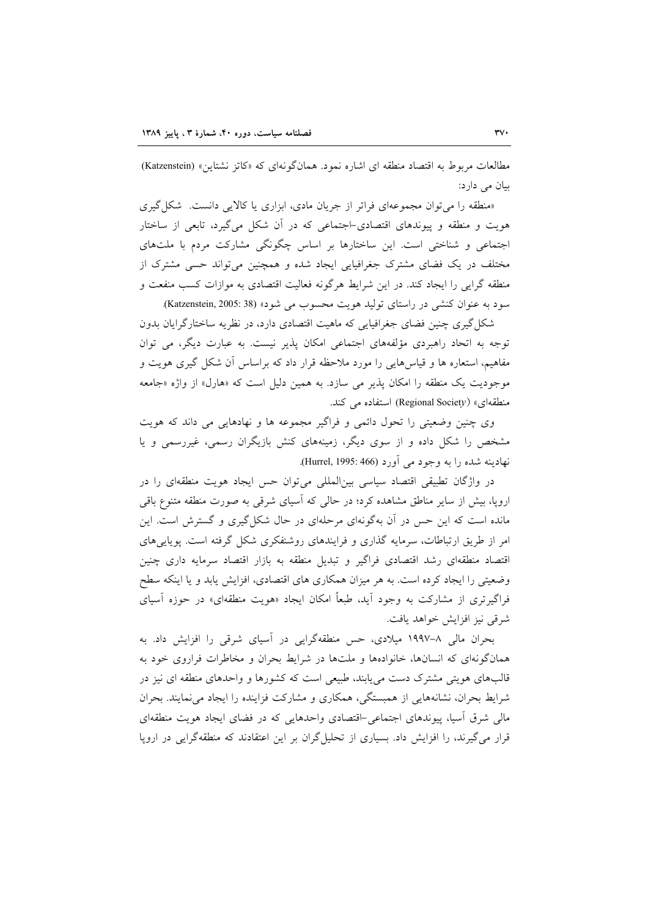مطالعات مربوط به اقتصاد منطقه ای اشاره نمود. همانگونهای که «کاتز نشتاین» (Katzenstein) سان مے ادار د:

«منطقه را میتوان مجموعهای فراتر از جریان مادی، ابزاری یا کالایی دانست. شکلگیری هویت و منطقه و پیوندهای اقتصادی–اجتماعی که در ان شکل میگیرد، تابعی از ساختار اجتماعی و شناختی است. این ساختارها بر اساس چگونگی مشارکت مردم با ملتهای مختلف در یک فضای مشترک جغرافیایی ایجاد شده و همچنین میتواند حسی مشترک از منطقه گرایی را ایجاد کند. در این شرایط هرگونه فعالیت اقتصادی به موازات کسب منفعت و سود به عنوان کنشی در راستای تولید هویت محسوب می شود» (Katzenstein, 2005: 38).

شکل گیری چنین فضای جغرافیایی که ماهیت اقتصادی دارد، در نظریه ساختارگرایان بدون توجه به اتحاد راهبردی مؤلفههای اجتماعی امکان پذیر نیست. به عبارت دیگر، می توان مفاهیم، استعاره ها و قیاس۵ایی را مورد ملاحظه قرار داد که براساس ان شکل گیری هویت و موجودیت یک منطقه را امکان پذیر می سازد. به همین دلیل است که «هارل» از واژه «جامعه منطقهای» (Regional Societ*y)* استفاده می کند.

وی چنین وضعیتی را تحول دائمی و فراگیر مجموعه ها و نهادهایی می داند که هویت مشخص را شکل داده و از سوی دیگر، زمینههای کنش بازیگران رسمی، غیررسمی و یا نهادينه شده را به وجود مي آورد (Hurrel, 1995: 466).

در واژگان تطبیقی اقتصاد سیاسی بینالمللی میتوان حس ایجاد هویت منطقهای را در اروپا، بیش از سایر مناطق مشاهده کرد؛ در حالی که اسیای شرقی به صورت منطقه متنوع باقی مانده است که این حس در ان بهگونهای مرحلهای در حال شکل گیری و گسترش است. این امر از طریق ارتباطات، سرمایه گذاری و فرایندهای روشنفکری شکل گرفته است. پویاییهای اقتصاد منطقهای رشد اقتصادی فراگیر و تبدیل منطقه به بازار اقتصاد سرمایه داری چنین وضعیتی را ایجاد کرده است. به هر میزان همکاری های اقتصادی، افزایش یابد و یا اینکه سطح فراگیرتری از مشارکت به وجود اید، طبعاً امکان ایجاد «هویت منطقهای» در حوزه اسیای شرقی نیز افزایش خواهد یافت.

بحران مالی ۸–۱۹۹۷ میلادی، حس منطقهگرایی در اسیای شرقی را افزایش داد. به همانگونهای که انسانها، خانوادهها و ملتها در شرایط بحران و مخاطرات فراروی خود به قالبهای هویتی مشترک دست میLبابند، طبیعی است که کشورها و واحدهای منطقه ای نیز در شرایط بحران، نشانههایی از همبستگی، همکاری و مشارکت فزاینده را ایجاد مینمایند. بحران مالی شرق اسیا، پیوندهای اجتماعی–اقتصادی واحدهایی که در فضای ایجاد هویت منطقهای قرار میگیرند، را افزایش داد. بسیاری از تحلیلگران بر این اعتقادند که منطقهگرایی در اروپا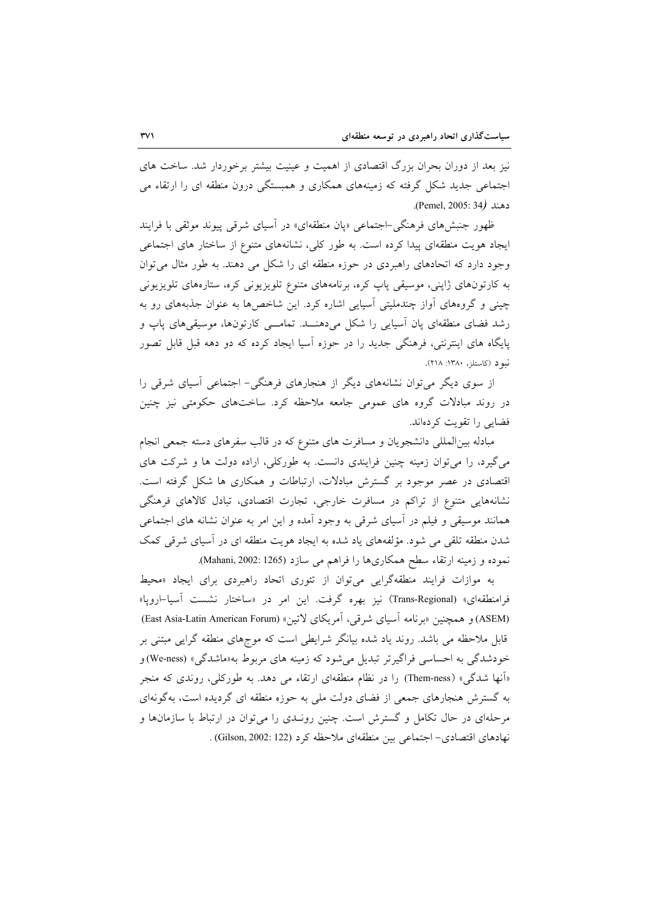نیز بعد از دوران بحران بزرگ اقتصادی از اهمیت و عینیت بیشتر برخوردار شد. ساخت های اجتماعی جدید شکل گرفته که زمینههای همکاری و همبستگی درون منطقه ای را ارتقاء می دهند (Pemel, 2005: 34).

ظهور جنبشهای فرهنگی-اجتماعی «پان منطقهای» در آسیای شرقی پیوند موثقی با فرایند ایجاد هویت منطقهای پیدا کرده است. به طور کلی، نشانههای متنوع از ساختار های اجتماعی وجود دارد که اتحادهای راهبردی در حوزه منطقه ای را شکل می دهند. به طور مثال می توان به کارتونهای ژاپنی، موسیقی پاپ کره، برنامههای متنوع تلویزیونی کره، ستارههای تلویزیونی چینی و گروههای آواز چندملیتی آسیایی اشاره کرد. این شاخصها به عنوان جذبههای رو به رشد فضای منطقهای پان آسیایی را شکل میدهنــد. تمامـــی کارتونها، موسیقیهای پاپ و پایگاه های اینترنتی، فرهنگی جدید را در حوزه آسیا ایجاد کرده که دو دهه قبل قابل تصور نبو د (کاستلز، ۱۳۸۰: ۲۱۸).

از سوی دیگر میتوان نشانههای دیگر از هنجارهای فرهنگی- اجتماعی اسیای شرقی را در روند مبادلات گروه های عمومی جامعه ملاحظه کرد. ساختهای حکومتی نیز چنین فضایی را تقویت کردهاند.

مبادله بین المللی دانشجویان و مسافرت های متنوع که در قالب سفرهای دسته جمعی انجام می گیرد، را می توان زمینه چنین فرایندی دانست. به طورکلی، اراده دولت ها و شرکت های اقتصادی در عصر موجود بر گسترش مبادلات، ارتباطات و همکاری ها شکل گرفته است. نشانههایی متنوع از تراکم در مسافرت خارجی، تجارت اقتصادی، تبادل کالاهای فرهنگی همانند موسیقی و فیلم در آسیای شرقی به وجود آمده و این امر به عنوان نشانه های اجتماعی شدن منطقه تلقی می شود. مؤلفههای یاد شده به ایجاد هویت منطقه ای در آسیای شرقی کمک نموده و زمینه ارتقاء سطح همکاریها را فراهم می سازد (1265 :002). Mahani, 2002).

به موازات فرایند منطقهگرایی میتوان از تئوری اتحاد راهبردی برای ایجاد «محیط فرامنطقهای» (Trans-Regional) نیز بهره گرفت. این امر در «ساختار نشست آسیا–اروپا» (ASEM) و همچنین «برنامه آسیای شرقی، آمریکای لاتین» (East Asia-Latin American Forum) قابل ملاحظه می باشد. روند یاد شده بیانگر شرایطی است که موجهای منطقه گرایی مبتنی بر خودشدگی به احساسی فراگیرتر تبدیل می شود که زمینه های مربوط به«ماشدگی» (We-ness) و «اَنها شدگی» (Them-ness) را در نظام منطقهای ارتقاء می دهد. به طورکلی، روندی که منجر به گسترش هنجارهای جمعی از فضای دولت ملی به حوزه منطقه ای گردیده است، بهگونهای مرحلهای در حال تکامل و گسترش است. چنین رونـدی را می توان در ارتباط با سازمانها و نهادهای اقتصادی- اجتماعی بین منطقهای ملاحظه کرد (Gilson, 2002: 122) .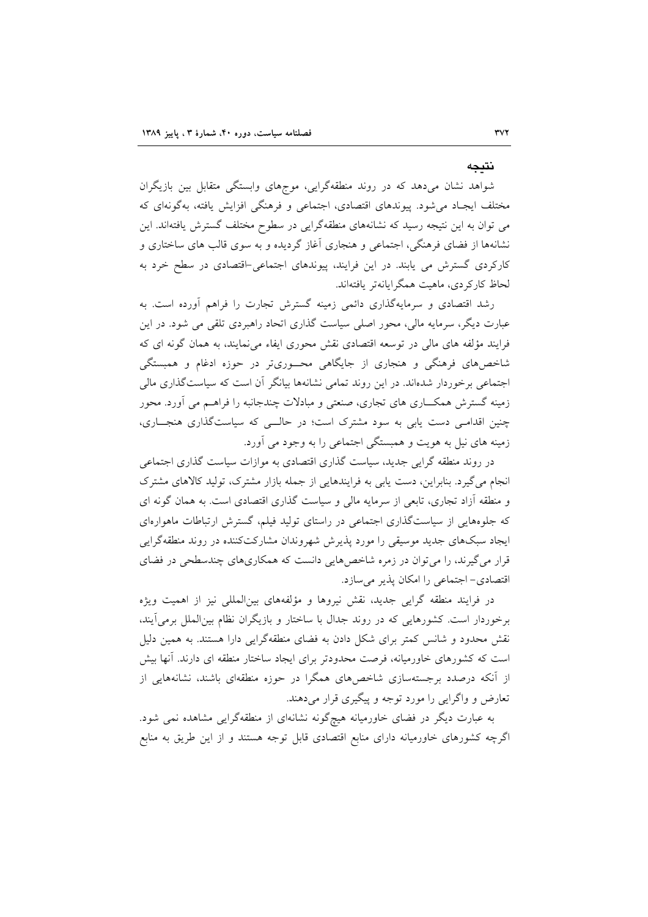#### نتىحە

شواهد نشان میدهد که در روند منطقهگرایی، موجهای وابستگی متقابل بین بازیگران مختلف ایجـاد میشود. پیوندهای اقتصادی، اجتماعی و فرهنگی افزایش یافته، بهگونهای که می توان به این نتیجه رسید که نشانههای منطقهگرایی در سطوح مختلف گسترش یافتهاند. این نشانهها از فضای فرهنگی، اجتماعی و هنجاری آغاز گردیده و به سوی قالب های ساختاری و کارکردی گسترش می یابند. در این فرایند، پیوندهای اجتماعی-اقتصادی در سطح خرد به لحاظ كاركردي، ماهيت همگرايانهتر يافتهاند.

رشد اقتصادی و سرمایهگذاری دائمی زمینه گسترش تجارت را فراهم آورده است. به عبارت دیگر، سرمایه مالی، محور اصلی سیاست گذاری اتحاد راهبردی تلقی می شود. در این فرایند مؤلفه های مالی در توسعه اقتصادی نقش محوری ایفاء می نمایند، به همان گونه ای که شاخصهای فرهنگی و هنجاری از جایگاهی محسوریتر در حوزه ادغام و همبستگی اجتماعی برخوردار شدهاند. در این روند تمامی نشانهها بیانگر آن است که سیاستگذاری مالی زمینه گسترش همکاری های تجاری، صنعتی و مبادلات چندجانبه را فراهـم می آورد. محور چنین اقدامی دست یابی به سود مشترک است؛ در حالهی که سیاستگذاری هنجاری، زمینه های نیل به هویت و همبستگی اجتماعی را به وجود می آورد.

در روند منطقه گرایی جدید، سیاست گذاری اقتصادی به موازات سیاست گذاری اجتماعی انجام میگیرد. بنابراین، دست یابی به فرایندهایی از جمله بازار مشترک، تولید کالاهای مشترک و منطقه آزاد تجاری، تابعی از سرمایه مالی و سیاست گذاری اقتصادی است. به همان گونه ای که جلوههایی از سیاستگذاری اجتماعی در راستای تولید فیلم، گسترش ارتباطات ماهوارهای ایجاد سبکهای جدید موسیقی را مورد پذیرش شهروندان مشارکتکننده در روند منطقهگرایی قرار می گیرند، را می توان در زمره شاخصهایی دانست که همکاریهای چندسطحی در فضای اقتصادی- اجتماعی را امکان پذیر میسازد.

در فرایند منطقه گرایی جدید، نقش نیروها و مؤلفههای بینالمللی نیز از اهمیت ویژه برخوردار است. کشورهایی که در روند جدال با ساختار و بازیگران نظام بینالملل برمی آیند، نقش محدود و شانس کمتر برای شکل دادن به فضای منطقهگرایی دارا هستند. به همین دلیل است که کشورهای خاورمیانه، فرصت محدودتر برای ایجاد ساختار منطقه ای دارند. آنها بیش از آنکه درصدد برجستهسازی شاخصهای همگرا در حوزه منطقهای باشند، نشانههایی از تعارض و واگرایی را مورد توجه و پیگیری قرار می دهند.

به عبارت دیگر در فضای خاورمیانه هیچگونه نشانهای از منطقهگرایی مشاهده نمی شود. اگرچه کشورهای خاورمیانه دارای منابع اقتصادی قابل توجه هستند و از این طریق به منابع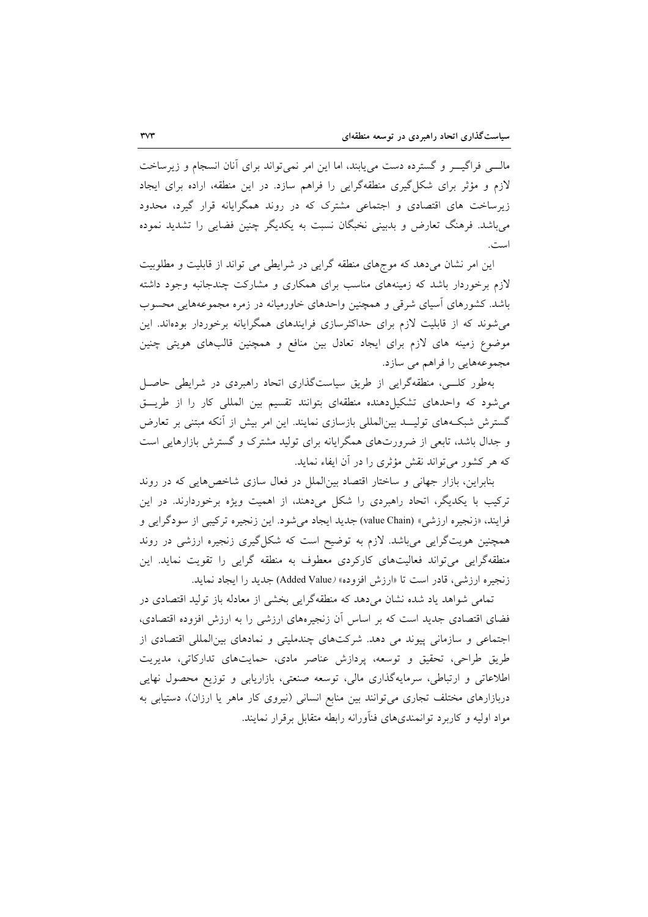مالـــی فراگیــــر و گسترده دست می یابند، اما این امر نمی تواند برای آنان انسجام و زیرساخت لازم و مؤثر برای شکل گیری منطقهگرایی را فراهم سازد. در این منطقه، اراده برای ایجاد زیرساخت های اقتصادی و اجتماعی مشترک که در روند همگرایانه قرار گیرد، محدود می باشد. فرهنگ تعارض و بدبینی نخبگان نسبت به یکدیگر چنین فضایی را تشدید نموده است.

این امر نشان میدهد که موجهای منطقه گرایی در شرایطی می تواند از قابلیت و مطلوبیت لازم برخوردار باشد که زمینههای مناسب برای همکاری و مشارکت چندجانبه وجود داشته باشد. کشورهای آسیای شرقی و همچنین واحدهای خاورمیانه در زمره مجموعههایی محسوب می شوند که از قابلیت لازم برای حداکثرسازی فرایندهای همگرایانه برخوردار بودهاند. این موضوع زمینه های لازم برای ایجاد تعادل بین منافع و همچنین قالبهای هویتی چنین مجموعههایی را فراهم می سازد.

بهطور کلـــی، منطقهگرایی از طریق سیاستگذاری اتحاد راهبردی در شرایطی حاصــل می شود که واحدهای تشکیل دهنده منطقهای بتوانند تقسیم بین المللی کار را از طریت گسترش شبکههای تولیــد بین|لمللی بازسازی نمایند. این امر بیش از آنکه مبتنی بر تعارض و جدال باشد، تابعی از ضرورتهای همگرایانه برای تولید مشترک و گسترش بازارهایی است که هر کشور می تواند نقش مؤثری را در آن ایفاء نماید.

بنابراین، بازار جهانی و ساختار اقتصاد بین الملل در فعال سازی شاخصهایی که در روند ترکیب با یکدیگر، اتحاد راهبردی را شکل میدهند، از اهمیت ویژه برخوردارند. در این فرايند، «زنجيره ارزشي» (value Chain) جديد ايجاد مي شود. اين زنجيره تركيبي از سودگرايي و همچنین هویتگرایی میباشد. لازم به توضیح است که شکلگیری زنجیره ارزشی در روند منطقهگرایی میتواند فعالیتهای کارکردی معطوف به منطقه گرایی را تقویت نماید. این زنجيره ارزشي، قادر است تا «ارزش افزوده» (Added Value) جديد را ايجاد نمايد.

تمامی شواهد یاد شده نشان میدهد که منطقهگرایی بخشی از معادله باز تولید اقتصادی در فضای اقتصادی جدید است که بر اساس آن زنجیرههای ارزشی را به ارزش افزوده اقتصادی، اجتماعی و سازمانی پیوند می دهد. شرکتهای چندملیتی و نمادهای بین المللی اقتصادی از طریق طراحی، تحقیق و توسعه، پردازش عناصر مادی، حمایتهای تدارکاتی، مدیریت اطلاعاتی و ارتباطی، سرمایهگذاری مالی، توسعه صنعتی، بازاریابی و توزیع محصول نهایی دربازارهای مختلف تجاری میتوانند بین منابع انسانی (نیروی کار ماهر یا ارزان)، دستیابی به مواد اولیه و کاربرد توانمندیهای فنآورانه رابطه متقابل برقرار نمایند.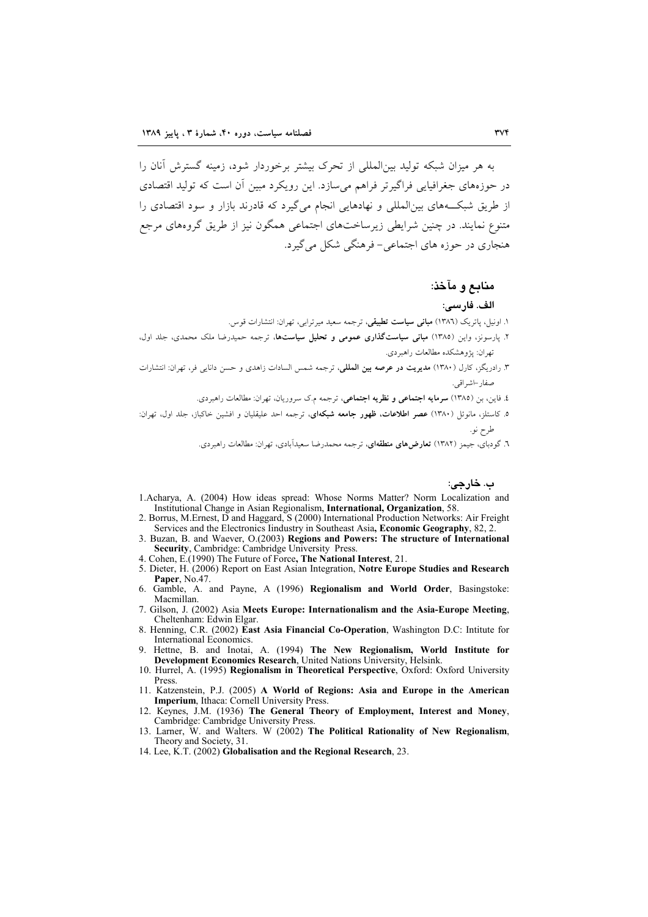به هر میزان شبکه تولید بین|لمللی از تحرک بیشتر برخوردار شود، زمینه گسترش آنان را در حوزههای جغرافیایی فراگیرتر فراهم می سازد. این رویکرد مبین آن است که تولید اقتصادی از طریق شبکههای بینالمللی و نهادهایی انجام میگیرد که قادرند بازار و سود اقتصادی را متنوع نمایند. در چنین شرایطی زیرساختهای اجتماعی همگون نیز از طریق گروههای مرجع هنجاري در حوزه هاي اجتماعي- فرهنگي شکل مي گيرد.

### منابع و مآخذ:

#### الف. فارسي:

۱. اونیل، یاتریک (۱۳۸٦) **مبانی سیاست تطبیقی**، ترجمه سعید میرترابی، تهران: انتشارات قوس.

- ۲. پارسونز، واین (۱۳۸۵) **مبانی سیاستگذاری عمومی و تحلیل سیاستها**، ترجمه حمیدرضا ملک محمدی، جلد اول، تهران: يژوهشكده مطالعات راهبردي.
- ۳. رادریگز، کارل (۱۳۸۰) **مدیریت در عرصه بین الملل**ی، ترجمه شمس السادات زاهدی و حسن دانای<sub>ی</sub> فر، تهران: انتشارات صفاد –اشہ اقبی.
	- ٤. فاين، بن (١٣٨٥) **سرمايه اجتماعي و نظريه اجتماعي**، ترجمه م.ك سروريان، تهران: مطالعات راهبردي.
- ه. کاستلز، مانوئل (۱۳۸۰) **عصر اطلاعات، ظهور جامعه شبکهای**، ترجمه احد علیقلیان و افشین خاکباز، جلد اول، ت<u>ه</u>ران: طرح نو.

.<br>٦. گودبای، جیمز (١٣٨٢) **تعارض۵ای منطقهای**، ترجمه محمدرضا سعیداَبادی، تهران: مطالعات راهبردی.

ب. خارجي:

- 1. Acharya, A. (2004) How ideas spread: Whose Norms Matter? Norm Localization and Institutional Change in Asian Regionalism, International, Organization, 58.
- 2. Borrus, M.Ernest, D and Haggard, S (2000) International Production Networks: Air Freight Services and the Electronics Industry in Southeast Asia, Economic Geography, 82, 2
- 3. Buzan, B. and Waever, O.(2003) Regions and Powers: The structure of International Security, Cambridge: Cambridge University Press
- 4. Cohen, E.(1990) The Future of Force, The National Interest, 21.
- 5. Dieter, H. (2006) Report on East Asian Integration, Notre Europe Studies and Research Paper, No.47.
- 6. Gamble, A. and Payne, A (1996) Regionalism and World Order, Basingstoke: Macmillan.
- 7. Gilson, J. (2002) Asia Meets Europe: Internationalism and the Asia-Europe Meeting, Cheltenham: Edwin Elgar.
- 8. Henning, C.R. (2002) East Asia Financial Co-Operation, Washington D.C: Intitute for International Economics.
- 9. Hettne, B. and Inotai, A. (1994) The New Regionalism, World Institute for Development Economics Research, United Nations University, Helsink.
- 10. Hurrel, A. (1995) Regionalism in Theoretical Perspective, Oxford: Oxford University Press.
- 11. Katzenstein, P.J. (2005) A World of Regions: Asia and Europe in the American Imperium, Ithaca: Cornell University Press.
- 12. Keynes, J.M. (1936) The General Theory of Employment, Interest and Money. Cambridge: Cambridge University Press.
- 13. Larner, W. and Walters. W (2002) The Political Rationality of New Regionalism, Theory and Society, 31.
- 14. Lee, K.T. (2002) Globalisation and the Regional Research, 23.